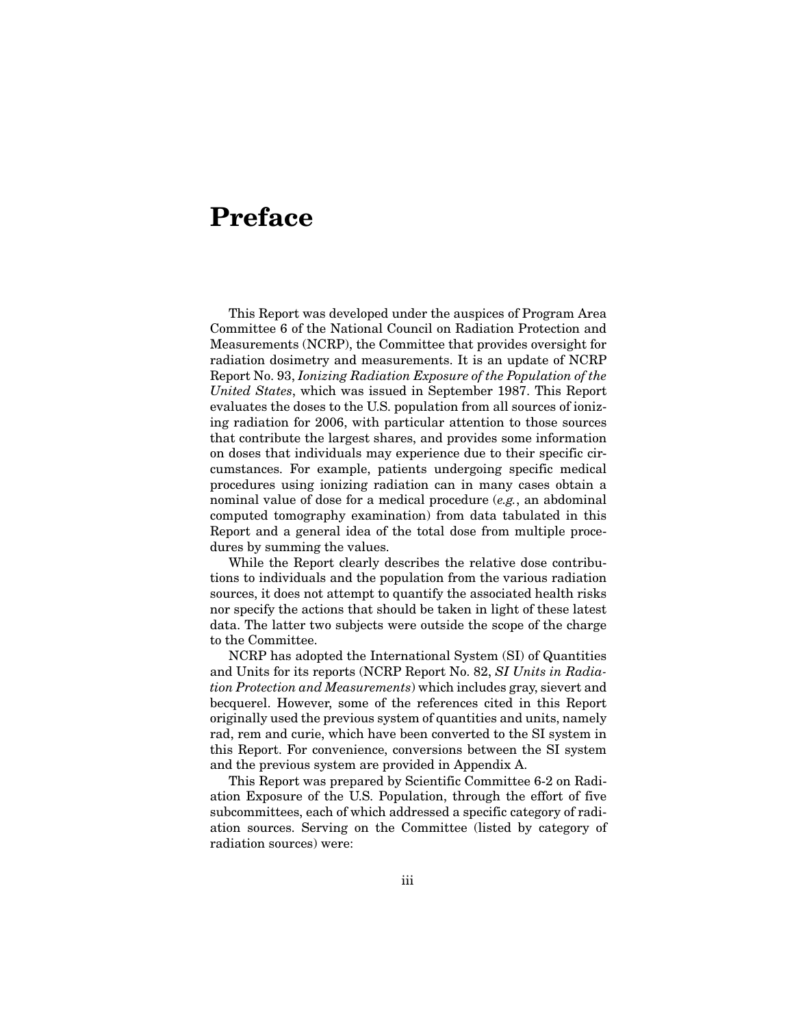# **Preface**

This Report was developed under the auspices of Program Area Committee 6 of the National Council on Radiation Protection and Measurements (NCRP), the Committee that provides oversight for radiation dosimetry and measurements. It is an update of NCRP Report No. 93, *Ionizing Radiation Exposure of the Population of the United States*, which was issued in September 1987. This Report evaluates the doses to the U.S. population from all sources of ionizing radiation for 2006, with particular attention to those sources that contribute the largest shares, and provides some information on doses that individuals may experience due to their specific circumstances. For example, patients undergoing specific medical procedures using ionizing radiation can in many cases obtain a nominal value of dose for a medical procedure (*e.g.*, an abdominal computed tomography examination) from data tabulated in this Report and a general idea of the total dose from multiple procedures by summing the values.

While the Report clearly describes the relative dose contributions to individuals and the population from the various radiation sources, it does not attempt to quantify the associated health risks nor specify the actions that should be taken in light of these latest data. The latter two subjects were outside the scope of the charge to the Committee.

NCRP has adopted the International System (SI) of Quantities and Units for its reports (NCRP Report No. 82, *SI Units in Radiation Protection and Measurements*) which includes gray, sievert and becquerel. However, some of the references cited in this Report originally used the previous system of quantities and units, namely rad, rem and curie, which have been converted to the SI system in this Report. For convenience, conversions between the SI system and the previous system are provided in Appendix A.

This Report was prepared by Scientific Committee 6-2 on Radiation Exposure of the U.S. Population, through the effort of five subcommittees, each of which addressed a specific category of radiation sources. Serving on the Committee (listed by category of radiation sources) were: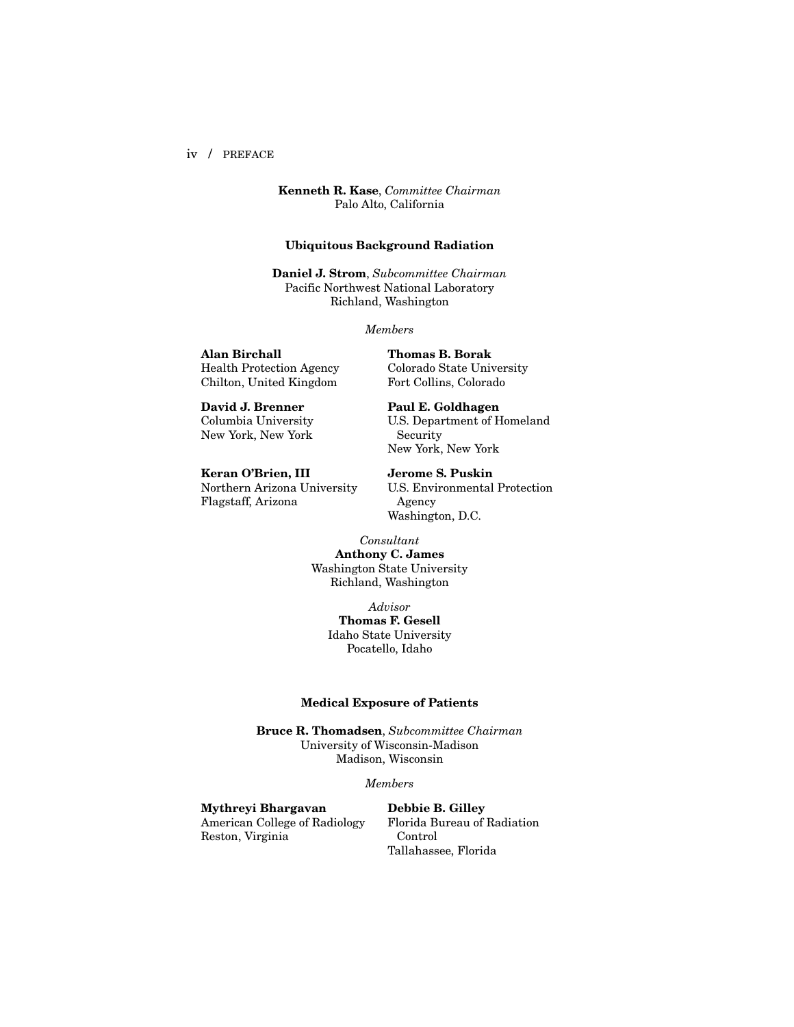## iv / PREFACE

## **Kenneth R. Kase**, *Committee Chairman* Palo Alto, California

#### **Ubiquitous Background Radiation**

**Daniel J. Strom**, *Subcommittee Chairman* Pacific Northwest National Laboratory Richland, Washington

## *Members*

**Alan Birchall** Health Protection Agency Chilton, United Kingdom

**David J. Brenner** Columbia University New York, New York

**Keran O'Brien, III** Northern Arizona University Flagstaff, Arizona

**Thomas B. Borak** Colorado State University Fort Collins, Colorado

**Paul E. Goldhagen** U.S. Department of Homeland Security New York, New York

**Jerome S. Puskin** U.S. Environmental Protection Agency Washington, D.C.

*Consultant* **Anthony C. James** Washington State University Richland, Washington

> *Advisor* **Thomas F. Gesell** Idaho State University Pocatello, Idaho

#### **Medical Exposure of Patients**

**Bruce R. Thomadsen**, *Subcommittee Chairman* University of Wisconsin-Madison Madison, Wisconsin

#### *Members*

**Mythreyi Bhargavan** American College of Radiology Reston, Virginia

**Debbie B. Gilley** Florida Bureau of Radiation Control Tallahassee, Florida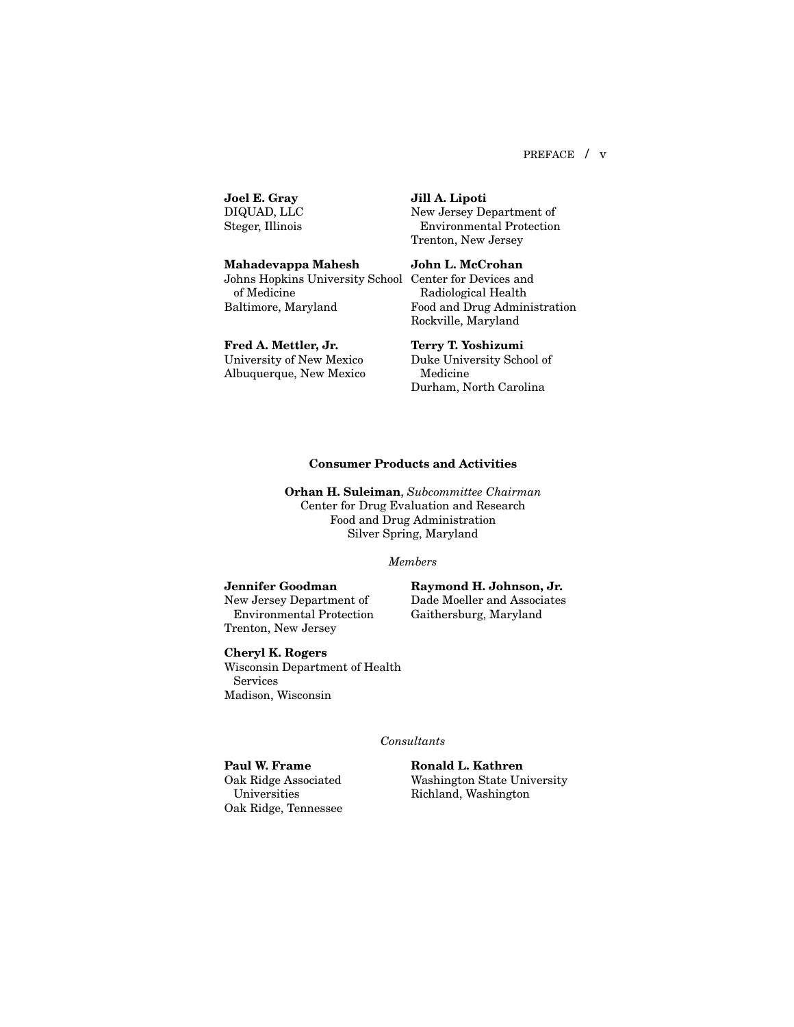PREFACE / v

**Joel E. Gray** DIQUAD, LLC Steger, Illinois

**Mahadevappa Mahesh** Johns Hopkins University School Center for Devices and of Medicine Baltimore, Maryland

#### **Fred A. Mettler, Jr.**

University of New Mexico Albuquerque, New Mexico **Jill A. Lipoti** New Jersey Department of Environmental Protection Trenton, New Jersey

**John L. McCrohan** Radiological Health Food and Drug Administration Rockville, Maryland

**Terry T. Yoshizumi** Duke University School of Medicine Durham, North Carolina

# **Consumer Products and Activities**

**Orhan H. Suleiman**, *Subcommittee Chairman* Center for Drug Evaluation and Research Food and Drug Administration Silver Spring, Maryland

## *Members*

#### **Jennifer Goodman**

New Jersey Department of Environmental Protection Trenton, New Jersey

**Raymond H. Johnson, Jr.** Dade Moeller and Associates Gaithersburg, Maryland

**Cheryl K. Rogers** Wisconsin Department of Health Services Madison, Wisconsin

#### *Consultants*

#### **Paul W. Frame**

Oak Ridge Associated Universities Oak Ridge, Tennessee

## **Ronald L. Kathren** Washington State University Richland, Washington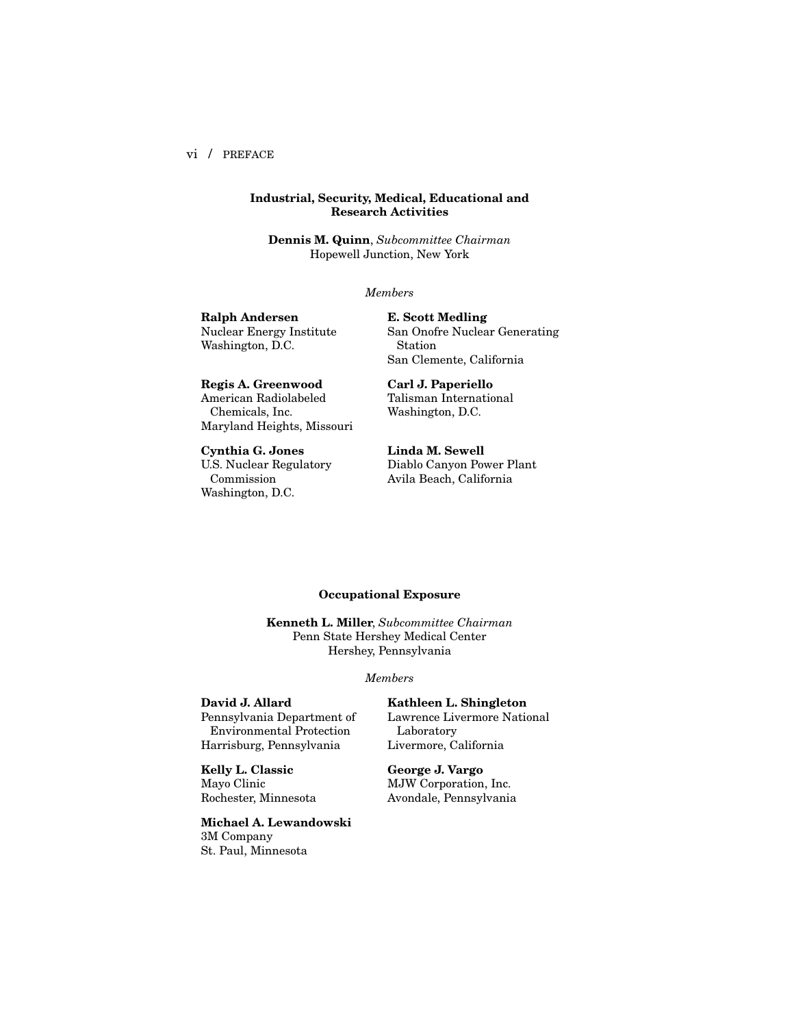#### vi / PREFACE

## **Industrial, Security, Medical, Educational and Research Activities**

**Dennis M. Quinn**, *Subcommittee Chairman* Hopewell Junction, New York

## *Members*

**Ralph Andersen** Nuclear Energy Institute Washington, D.C.

**E. Scott Medling** San Onofre Nuclear Generating Station San Clemente, California

**Regis A. Greenwood** American Radiolabeled Chemicals, Inc. Maryland Heights, Missouri

**Cynthia G. Jones** U.S. Nuclear Regulatory Commission Washington, D.C.

**Carl J. Paperiello** Talisman International Washington, D.C.

**Linda M. Sewell** Diablo Canyon Power Plant Avila Beach, California

#### **Occupational Exposure**

**Kenneth L. Miller**, *Subcommittee Chairman* Penn State Hershey Medical Center Hershey, Pennsylvania

## *Members*

## **David J. Allard**

Pennsylvania Department of Environmental Protection Harrisburg, Pennsylvania

**Kelly L. Classic** Mayo Clinic Rochester, Minnesota

**Michael A. Lewandowski** 3M Company St. Paul, Minnesota

**Kathleen L. Shingleton** Lawrence Livermore National Laboratory Livermore, California

**George J. Vargo** MJW Corporation, Inc. Avondale, Pennsylvania